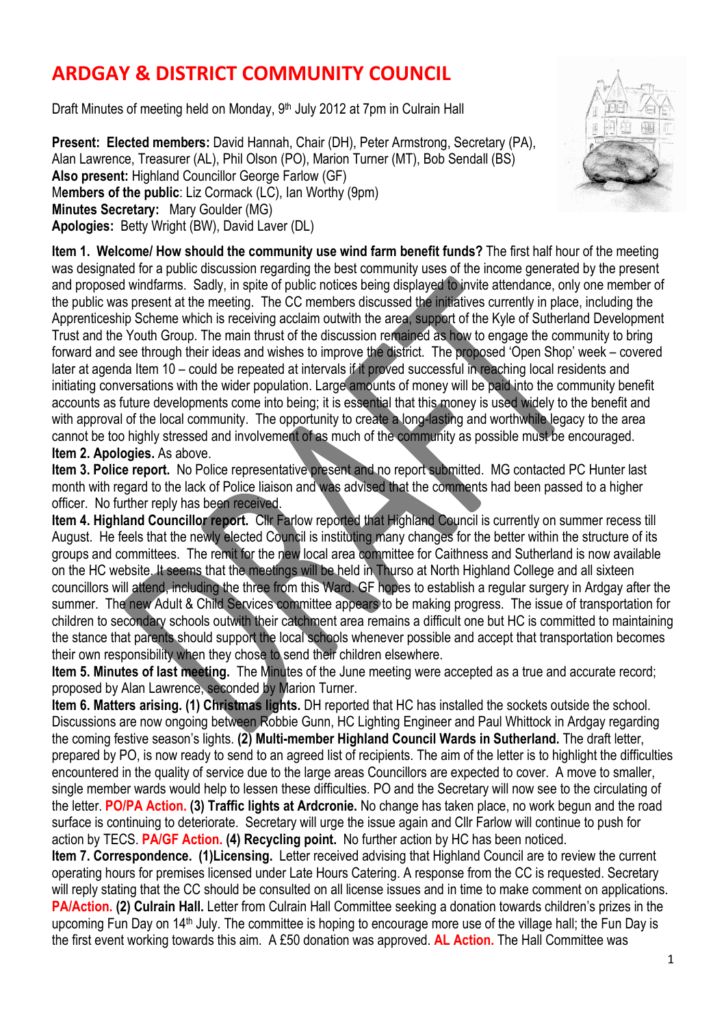## **ARDGAY & DISTRICT COMMUNITY COUNCIL**

Draft Minutes of meeting held on Monday, 9<sup>th</sup> July 2012 at 7pm in Culrain Hall

**Present: Elected members:** David Hannah, Chair (DH), Peter Armstrong, Secretary (PA), Alan Lawrence, Treasurer (AL), Phil Olson (PO), Marion Turner (MT), Bob Sendall (BS) **Also present:** Highland Councillor George Farlow (GF) M**embers of the public**: Liz Cormack (LC), Ian Worthy (9pm) **Minutes Secretary:** Mary Goulder (MG) **Apologies:** Betty Wright (BW), David Laver (DL)



**Item 3. Police report.** No Police representative present and no report submitted. MG contacted PC Hunter last month with regard to the lack of Police liaison and was advised that the comments had been passed to a higher officer. No further reply has been received.

**Item 4. Highland Councillor report.** Cllr Farlow reported that Highland Council is currently on summer recess till August. He feels that the newly elected Council is instituting many changes for the better within the structure of its groups and committees. The remit for the new local area committee for Caithness and Sutherland is now available on the HC website. It seems that the meetings will be held in Thurso at North Highland College and all sixteen councillors will attend, including the three from this Ward. GF hopes to establish a regular surgery in Ardgay after the summer. The new Adult & Child Services committee appears to be making progress. The issue of transportation for children to secondary schools outwith their catchment area remains a difficult one but HC is committed to maintaining the stance that parents should support the local schools whenever possible and accept that transportation becomes their own responsibility when they chose to send their children elsewhere.

**Item 5. Minutes of last meeting.** The Minutes of the June meeting were accepted as a true and accurate record; proposed by Alan Lawrence, seconded by Marion Turner.

**Item 6. Matters arising. (1) Christmas lights.** DH reported that HC has installed the sockets outside the school. Discussions are now ongoing between Robbie Gunn, HC Lighting Engineer and Paul Whittock in Ardgay regarding the coming festive season's lights. **(2) Multi-member Highland Council Wards in Sutherland.** The draft letter, prepared by PO, is now ready to send to an agreed list of recipients. The aim of the letter is to highlight the difficulties encountered in the quality of service due to the large areas Councillors are expected to cover. A move to smaller, single member wards would help to lessen these difficulties. PO and the Secretary will now see to the circulating of the letter. **PO/PA Action. (3) Traffic lights at Ardcronie.** No change has taken place, no work begun and the road surface is continuing to deteriorate. Secretary will urge the issue again and Cllr Farlow will continue to push for action by TECS. **PA/GF Action. (4) Recycling point.** No further action by HC has been noticed.

**Item 7. Correspondence. (1)Licensing.** Letter received advising that Highland Council are to review the current operating hours for premises licensed under Late Hours Catering. A response from the CC is requested. Secretary will reply stating that the CC should be consulted on all license issues and in time to make comment on applications. **PA/Action. (2) Culrain Hall.** Letter from Culrain Hall Committee seeking a donation towards children's prizes in the upcoming Fun Day on 14th July. The committee is hoping to encourage more use of the village hall; the Fun Day is the first event working towards this aim. A £50 donation was approved. **AL Action.** The Hall Committee was

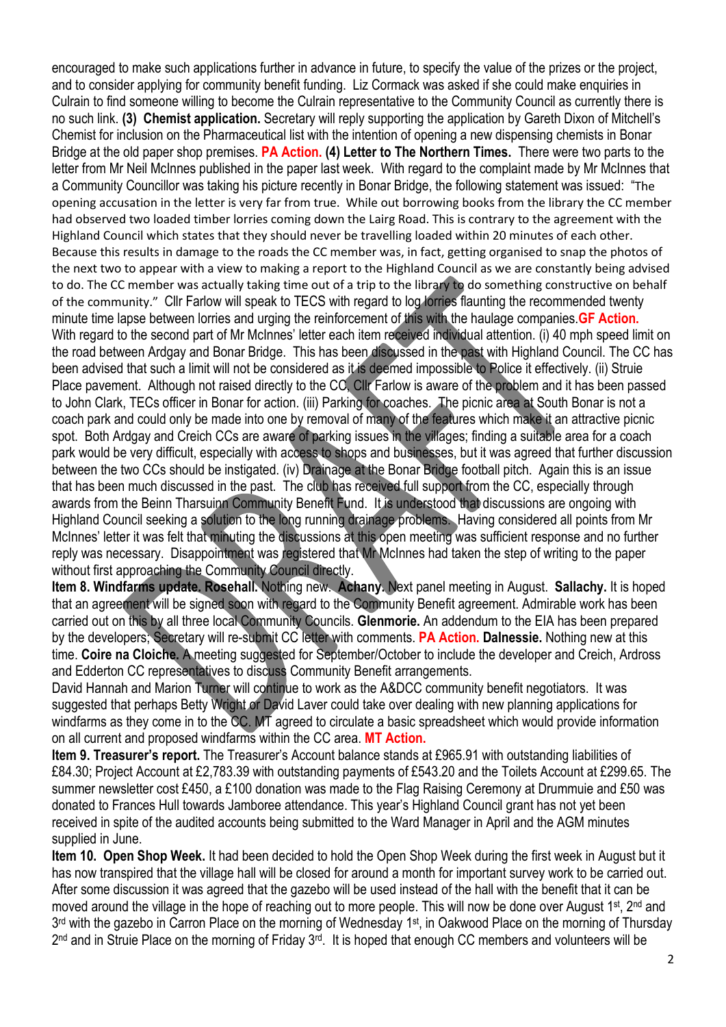encouraged to make such applications further in advance in future, to specify the value of the prizes or the project, and to consider applying for community benefit funding. Liz Cormack was asked if she could make enquiries in Culrain to find someone willing to become the Culrain representative to the Community Council as currently there is no such link. **(3) Chemist application.** Secretary will reply supporting the application by Gareth Dixon of Mitchell's Chemist for inclusion on the Pharmaceutical list with the intention of opening a new dispensing chemists in Bonar Bridge at the old paper shop premises. **PA Action. (4) Letter to The Northern Times.** There were two parts to the letter from Mr Neil McInnes published in the paper last week. With regard to the complaint made by Mr McInnes that a Community Councillor was taking his picture recently in Bonar Bridge, the following statement was issued: "The opening accusation in the letter is very far from true. While out borrowing books from the library the CC member had observed two loaded timber lorries coming down the Lairg Road. This is contrary to the agreement with the Highland Council which states that they should never be travelling loaded within 20 minutes of each other. Because this results in damage to the roads the CC member was, in fact, getting organised to snap the photos of the next two to appear with a view to making a report to the Highland Council as we are constantly being advised to do. The CC member was actually taking time out of a trip to the library to do something constructive on behalf of the community." Cllr Farlow will speak to TECS with regard to log lorries flaunting the recommended twenty minute time lapse between lorries and urging the reinforcement of this with the haulage companies. **GF Action.** With regard to the second part of Mr McInnes' letter each item received individual attention. (i) 40 mph speed limit on the road between Ardgay and Bonar Bridge. This has been discussed in the past with Highland Council. The CC has been advised that such a limit will not be considered as it is deemed impossible to Police it effectively. (ii) Struie Place pavement. Although not raised directly to the CC, Cllr Farlow is aware of the problem and it has been passed to John Clark, TECs officer in Bonar for action. (iii) Parking for coaches. The picnic area at South Bonar is not a coach park and could only be made into one by removal of many of the features which make it an attractive picnic spot. Both Ardgay and Creich CCs are aware of parking issues in the villages; finding a suitable area for a coach park would be very difficult, especially with access to shops and businesses, but it was agreed that further discussion between the two CCs should be instigated. (iv) Drainage at the Bonar Bridge football pitch. Again this is an issue that has been much discussed in the past. The club has received full support from the CC, especially through awards from the Beinn Tharsuinn Community Benefit Fund. It is understood that discussions are ongoing with Highland Council seeking a solution to the long running drainage problems. Having considered all points from Mr McInnes' letter it was felt that minuting the discussions at this open meeting was sufficient response and no further reply was necessary. Disappointment was registered that Mr McInnes had taken the step of writing to the paper without first approaching the Community Council directly.

**Item 8. Windfarms update. Rosehall.** Nothing new. **Achany.** Next panel meeting in August. **Sallachy.** It is hoped that an agreement will be signed soon with regard to the Community Benefit agreement. Admirable work has been carried out on this by all three local Community Councils. **Glenmorie.** An addendum to the EIA has been prepared by the developers; Secretary will re-submit CC letter with comments. **PA Action. Dalnessie.** Nothing new at this time. **Coire na Cloiche.** A meeting suggested for September/October to include the developer and Creich, Ardross and Edderton CC representatives to discuss Community Benefit arrangements.

David Hannah and Marion Turner will continue to work as the A&DCC community benefit negotiators. It was suggested that perhaps Betty Wright or David Laver could take over dealing with new planning applications for windfarms as they come in to the CC. MT agreed to circulate a basic spreadsheet which would provide information on all current and proposed windfarms within the CC area. **MT Action.** 

**Item 9. Treasurer's report.** The Treasurer's Account balance stands at £965.91 with outstanding liabilities of £84.30; Project Account at £2,783.39 with outstanding payments of £543.20 and the Toilets Account at £299.65. The summer newsletter cost £450, a £100 donation was made to the Flag Raising Ceremony at Drummuie and £50 was donated to Frances Hull towards Jamboree attendance. This year's Highland Council grant has not yet been received in spite of the audited accounts being submitted to the Ward Manager in April and the AGM minutes supplied in June.

**Item 10. Open Shop Week.** It had been decided to hold the Open Shop Week during the first week in August but it has now transpired that the village hall will be closed for around a month for important survey work to be carried out. After some discussion it was agreed that the gazebo will be used instead of the hall with the benefit that it can be moved around the village in the hope of reaching out to more people. This will now be done over August 1<sup>st</sup>, 2<sup>nd</sup> and 3<sup>rd</sup> with the gazebo in Carron Place on the morning of Wednesday 1<sup>st</sup>, in Oakwood Place on the morning of Thursday 2<sup>nd</sup> and in Struie Place on the morning of Friday 3<sup>rd</sup>. It is hoped that enough CC members and volunteers will be